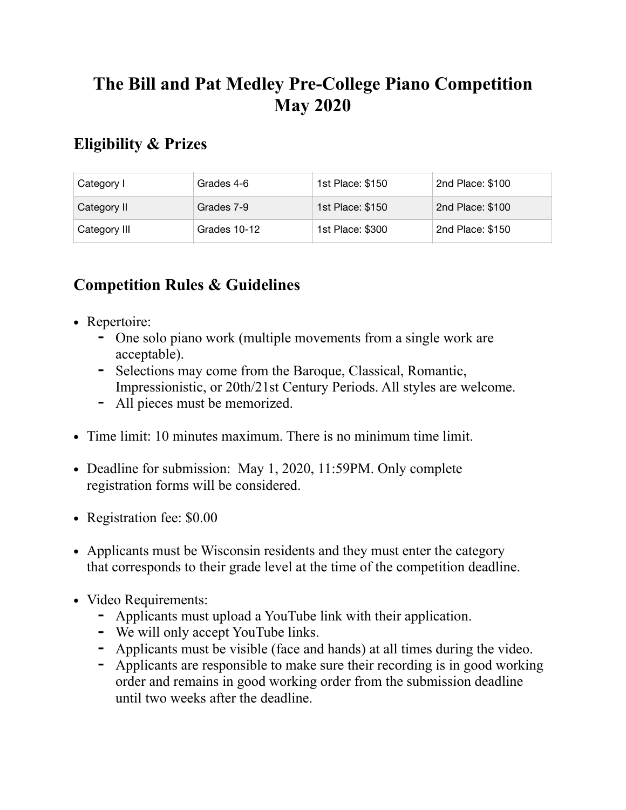## **The Bill and Pat Medley Pre-College Piano Competition May 2020**

## **Eligibility & Prizes**

| Category I   | Grades 4-6   | 1st Place: \$150 | 2nd Place: \$100 |
|--------------|--------------|------------------|------------------|
| Category II  | Grades 7-9   | 1st Place: \$150 | 2nd Place: \$100 |
| Category III | Grades 10-12 | 1st Place: \$300 | 2nd Place: \$150 |

## **Competition Rules & Guidelines**

- **•** Repertoire:
	- **-** One solo piano work (multiple movements from a single work are acceptable).
	- **-** Selections may come from the Baroque, Classical, Romantic, Impressionistic, or 20th/21st Century Periods. All styles are welcome.
	- **-** All pieces must be memorized.
- **•** Time limit: 10 minutes maximum. There is no minimum time limit.
- **•** Deadline for submission: May 1, 2020, 11:59PM. Only complete registration forms will be considered.
- **•** Registration fee: \$0.00
- Applicants must be Wisconsin residents and they must enter the category that corresponds to their grade level at the time of the competition deadline.
- **•** Video Requirements:
	- **-** Applicants must upload a YouTube link with their application.
	- **-** We will only accept YouTube links.
	- **-** Applicants must be visible (face and hands) at all times during the video.
	- **-** Applicants are responsible to make sure their recording is in good working order and remains in good working order from the submission deadline until two weeks after the deadline.